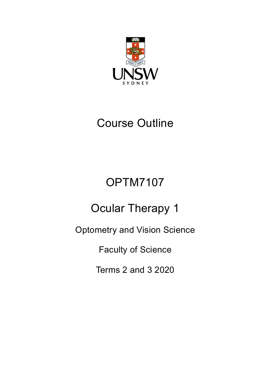

# Course Outline

# OPTM7107

# Ocular Therapy 1

Optometry and Vision Science

Faculty of Science

Terms 2 and 3 2020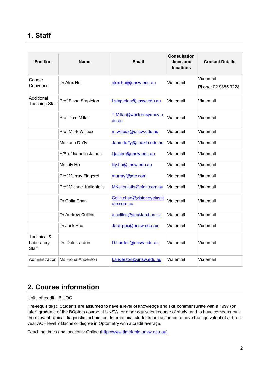# **1. Staff**

| <b>Position</b>                     | <b>Name</b>                     | <b>Email</b>                             | <b>Consultation</b><br>times and<br><b>locations</b> | <b>Contact Details</b>           |
|-------------------------------------|---------------------------------|------------------------------------------|------------------------------------------------------|----------------------------------|
| Course<br>Convenor                  | Dr Alex Hui                     | alex.hui@unsw.edu.au                     | Via email                                            | Via email<br>Phone: 02 9385 9228 |
| Additional<br><b>Teaching Staff</b> | Prof Fiona Stapleton            | f.stapleton@unsw.edu.au                  | Via email                                            | Via email                        |
|                                     | <b>Prof Tom Millar</b>          | T.Millar@westernsydney.e<br>du.au        | Via email                                            | Via email                        |
|                                     | <b>Prof Mark Willcox</b>        | m.willcox@unsw.edu.au                    | Via email                                            | Via email                        |
|                                     | Ms Jane Duffy                   | Jane.duffy@deakin.edu.au                 | Via email                                            | Via email                        |
|                                     | A/Prof Isabelle Jalbert         | i.jalbert@unsw.edu.au                    | Via email                                            | Via email                        |
|                                     | Ms Lily Ho                      | lily.ho@unsw.edu.au                      | Via email                                            | Via email                        |
|                                     | <b>Prof Murray Fingeret</b>     | murrayf@me.com                           | Via email                                            | Via email                        |
|                                     | <b>Prof Michael Kalloniatis</b> | MKalloniatis@cfeh.com.au                 | Via email                                            | Via email                        |
|                                     | Dr Colin Chan                   | Colin.chan@visioneyeinstit<br>ute.com.au | Via email                                            | Via email                        |
|                                     | Dr Andrew Collins               | a.collins@auckland.ac.nz                 | Via email                                            | Via email                        |
|                                     | Dr Jack Phu                     | Jack.phu@unsw.edu.au                     | Via email                                            | Via email                        |
| Technical &<br>Laboratory<br>Staff  | Dr. Dale Larden                 | D.Larden@unsw.edu.au                     | Via email                                            | Via email                        |
| Administration                      | Ms Fiona Anderson               | f.anderson@unsw.edu.au                   | Via email                                            | Via email                        |

# **2. Course information**

Units of credit: 6 UOC

Pre-requisite(s): Students are assumed to have a level of knowledge and skill commensurate with a 1997 (or later) graduate of the BOptom course at UNSW, or other equivalent course of study, and to have competency in the relevant clinical diagnostic techniques. International students are assumed to have the equivalent of a threeyear AQF level 7 Bachelor degree in Optometry with a credit average.

Teaching times and locations: Online [\(http://www.timetable.unsw.edu.au\)](http://www.timetable.unsw.edu.au/)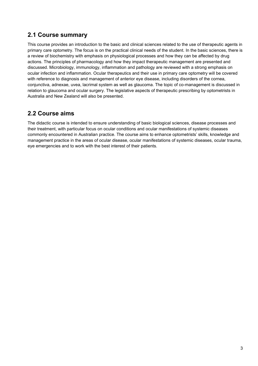#### **2.1 Course summary**

This course provides an introduction to the basic and clinical sciences related to the use of therapeutic agents in primary care optometry. The focus is on the practical clinical needs of the student. In the basic sciences, there is a review of biochemistry with emphasis on physiological processes and how they can be affected by drug actions. The principles of pharmacology and how they impact therapeutic management are presented and discussed. Microbiology, immunology, inflammation and pathology are reviewed with a strong emphasis on ocular infection and inflammation. Ocular therapeutics and their use in primary care optometry will be covered with reference to diagnosis and management of anterior eye disease, including disorders of the cornea, conjunctiva, adnexae, uvea, lacrimal system as well as glaucoma. The topic of co-management is discussed in relation to glaucoma and ocular surgery. The legislative aspects of therapeutic prescribing by optometrists in Australia and New Zealand will also be presented.

#### **2.2 Course aims**

The didactic course is intended to ensure understanding of basic biological sciences, disease processes and their treatment, with particular focus on ocular conditions and ocular manifestations of systemic diseases commonly encountered in Australian practice. The course aims to enhance optometrists' skills, knowledge and management practice in the areas of ocular disease, ocular manifestations of systemic diseases, ocular trauma, eye emergencies and to work with the best interest of their patients.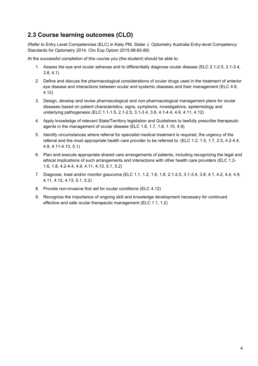### **2.3 Course learning outcomes (CLO)**

(Refer to Entry Level Competencies (ELC) in Kiely PM, Slater J. Optometry Australia Entry-level Competency Standards for Optometry 2014. Clin Exp Optom 2015;98:65-89)

At the successful completion of this course you (the student) should be able to:

- 1. Assess the eye and ocular adnexae and to differentially diagnose ocular disease (ELC 2.1-2.5, 3.1-3.4, 3.8, 4.1)
- 2. Define and discuss the pharmacological considerations of ocular drugs used in the treatment of anterior eye disease and interactions between ocular and systemic diseases and their management (ELC 4.9, 4.12)
- 3. Design, develop and revise pharmacological and non-pharmacological management plans for ocular diseases based on patient characteristics, signs, symptoms, investigations, epidemiology and underlying pathogenesis (ELC 1.1-1.5, 2.1-2.5, 3.1-3.4, 3.8, 4.1-4.4, 4.9, 4.11, 4.12)
- 4. Apply knowledge of relevant State/Territory legislation and Guidelines to lawfully prescribe therapeutic agents in the management of ocular disease (ELC 1.6, 1.7, 1.8, 1.10, 4.9)
- 5. Identify circumstances where referral for specialist medical treatment is required, the urgency of the referral and the most appropriate health care provider to be referred to. (ELC 1.2, 1.5, 1.7, 2.5, 4.2-4.4, 4.9, 4.11-4.13, 5.1)
- 6. Plan and execute appropriate shared care arrangements of patients, including recognizing the legal and ethical implications of such arrangements and interactions with other health care providers (ELC 1.2- 1.6, 1.8, 4.2-4.4, 4.9, 4.11, 4.13, 5.1, 5.2)
- 7. Diagnose, treat and/or monitor glaucoma (ELC 1.1, 1.2, 1.6, 1.8, 2.1-2.5, 3.1-3.4, 3.8, 4.1, 4.2, 4.4, 4.9, 4.11, 4.12, 4.13, 5.1, 5.2)
- 8. Provide non-invasive first aid for ocular conditions (ELC 4.12)
- 9. Recognize the importance of ongoing skill and knowledge development necessary for continued effective and safe ocular therapeutic management (ELC 1.1, 1.2)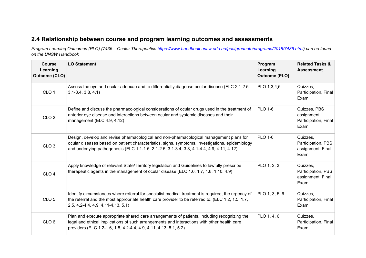## **2.4 Relationship between course and program learning outcomes and assessments**

*Program Learning Outcomes (PLO) (7436 – Ocular Therapeutics [https://www.handbook.unsw.edu.au/postgraduate/programs/2018/7436.html\)](https://www.handbook.unsw.edu.au/postgraduate/programs/2018/7436.html) can be found on the UNSW Handbook*

| <b>Course</b><br>Learning<br><b>Outcome (CLO)</b> | <b>LO Statement</b>                                                                                                                                                                                                                                                                      | Program<br>Learning<br><b>Outcome (PLO)</b> | <b>Related Tasks &amp;</b><br><b>Assessment</b>             |
|---------------------------------------------------|------------------------------------------------------------------------------------------------------------------------------------------------------------------------------------------------------------------------------------------------------------------------------------------|---------------------------------------------|-------------------------------------------------------------|
| CLO <sub>1</sub>                                  | Assess the eye and ocular adnexae and to differentially diagnose ocular disease (ELC 2.1-2.5,<br>$3.1 - 3.4, 3.8, 4.1$                                                                                                                                                                   | PLO 1,3,4,5                                 | Quizzes,<br>Participation, Final<br>Exam                    |
| CLO <sub>2</sub>                                  | Define and discuss the pharmacological considerations of ocular drugs used in the treatment of<br>anterior eye disease and interactions between ocular and systemic diseases and their<br>management (ELC 4.9, 4.12)                                                                     | <b>PLO 1-6</b>                              | Quizzes, PBS<br>assignment,<br>Participation, Final<br>Exam |
| CLO <sub>3</sub>                                  | Design, develop and revise pharmacological and non-pharmacological management plans for<br>ocular diseases based on patient characteristics, signs, symptoms, investigations, epidemiology<br>and underlying pathogenesis (ELC 1.1-1.5, 2.1-2.5, 3.1-3.4, 3.8, 4.1-4.4, 4.9, 4.11, 4.12) | <b>PLO 1-6</b>                              | Quizzes,<br>Participation, PBS<br>assignment, Final<br>Exam |
| CLO <sub>4</sub>                                  | Apply knowledge of relevant State/Territory legislation and Guidelines to lawfully prescribe<br>therapeutic agents in the management of ocular disease (ELC 1.6, 1.7, 1.8, 1.10, 4.9)                                                                                                    | PLO 1, 2, 3                                 | Quizzes,<br>Participation, PBS<br>assignment, Final<br>Exam |
| CLO <sub>5</sub>                                  | Identify circumstances where referral for specialist medical treatment is required, the urgency of<br>the referral and the most appropriate health care provider to be referred to. (ELC 1.2, 1.5, 1.7,<br>2.5, 4.2-4.4, 4.9, 4.11-4.13, 5.1)                                            | PLO 1, 3, 5, 6                              | Quizzes,<br>Participation, Final<br>Exam                    |
| CLO <sub>6</sub>                                  | Plan and execute appropriate shared care arrangements of patients, including recognizing the<br>legal and ethical implications of such arrangements and interactions with other health care<br>providers (ELC 1.2-1.6, 1.8, 4.2-4.4, 4.9, 4.11, 4.13, 5.1, 5.2)                          | PLO 1, 4, 6                                 | Quizzes,<br>Participation, Final<br>Exam                    |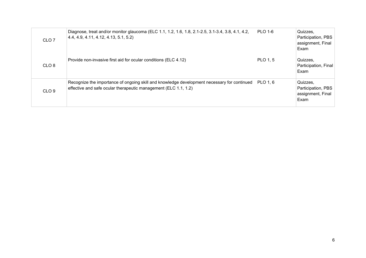| CLO <sub>7</sub> | Diagnose, treat and/or monitor glaucoma (ELC 1.1, 1.2, 1.6, 1.8, 2.1-2.5, 3.1-3.4, 3.8, 4.1, 4.2,<br>4.4, 4.9, 4.11, 4.12, 4.13, 5.1, 5.2)                              | <b>PLO 1-6</b> | Quizzes,<br>Participation, PBS<br>assignment, Final<br>Exam |
|------------------|-------------------------------------------------------------------------------------------------------------------------------------------------------------------------|----------------|-------------------------------------------------------------|
| CLO <sub>8</sub> | Provide non-invasive first aid for ocular conditions (ELC 4.12)                                                                                                         | PLO 1, 5       | Quizzes,<br>Participation, Final<br>Exam                    |
| CLO <sub>9</sub> | Recognize the importance of ongoing skill and knowledge development necessary for continued PLO 1, 6<br>effective and safe ocular therapeutic management (ELC 1.1, 1.2) |                | Quizzes,<br>Participation, PBS<br>assignment, Final<br>Exam |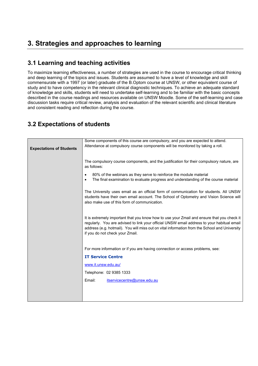### **3.1 Learning and teaching activities**

To maximize learning effectiveness, a number of strategies are used in the course to encourage critical thinking and deep learning of the topics and issues. Students are assumed to have a level of knowledge and skill commensurate with a 1997 (or later) graduate of the B.Optom course at UNSW, or other equivalent course of study and to have competency in the relevant clinical diagnostic techniques. To achieve an adequate standard of knowledge and skills, students will need to undertake self-learning and to be familiar with the basic concepts described in the course readings and resources available on UNSW Moodle. Some of the self-learning and case discussion tasks require critical review, analysis and evaluation of the relevant scientific and clinical literature and consistent reading and reflection during the course.

## **3.2 Expectations of students**

|                                 | Some components of this course are compulsory, and you are expected to attend.                   |
|---------------------------------|--------------------------------------------------------------------------------------------------|
|                                 | Attendance at compulsory course components will be monitored by taking a roll.                   |
| <b>Expectations of Students</b> |                                                                                                  |
|                                 |                                                                                                  |
|                                 | The compulsory course components, and the justification for their compulsory nature, are         |
|                                 | as follows:                                                                                      |
|                                 | 80% of the webinars as they serve to reinforce the module material                               |
|                                 | The final examination to evaluate progress and understanding of the course material<br>$\bullet$ |
|                                 |                                                                                                  |
|                                 | The University uses email as an official form of communication for students. All UNSW            |
|                                 | students have their own email account. The School of Optometry and Vision Science will           |
|                                 | also make use of this form of communication.                                                     |
|                                 |                                                                                                  |
|                                 | It is extremely important that you know how to use your Zmail and ensure that you check it       |
|                                 | regularly. You are advised to link your official UNSW email address to your habitual email       |
|                                 | address (e.g. hotmail). You will miss out on vital information from the School and University    |
|                                 | if you do not check your Zmail.                                                                  |
|                                 |                                                                                                  |
|                                 |                                                                                                  |
|                                 | For more information or if you are having connection or access problems, see:                    |
|                                 | <b>IT Service Centre</b>                                                                         |
|                                 | www.it.unsw.edu.au/                                                                              |
|                                 | Telephone: 02 9385 1333                                                                          |
|                                 | Email:<br>itservicecentre@unsw.edu.au                                                            |
|                                 |                                                                                                  |
|                                 |                                                                                                  |
|                                 |                                                                                                  |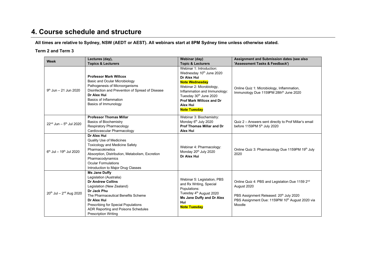# **4. Course schedule and structure**

#### **All times are relative to Sydney, NSW (AEDT or AEST). All webinars start at 8PM Sydney time unless otherwise stated.**

#### **Term 2 and Term 3**

| <b>Week</b>                           | Lectures (day),<br><b>Topics &amp; Lecturers</b>                                                                                                                                                                                                                                   | Webinar (day)<br><b>Topic &amp; Lecturers</b>                                                                                                                                                                                                            | Assignment and Submission dates (see also<br>'Assessment Tasks & Feedback')                                                                                                        |
|---------------------------------------|------------------------------------------------------------------------------------------------------------------------------------------------------------------------------------------------------------------------------------------------------------------------------------|----------------------------------------------------------------------------------------------------------------------------------------------------------------------------------------------------------------------------------------------------------|------------------------------------------------------------------------------------------------------------------------------------------------------------------------------------|
| $9th$ Jun - 21 Jun 2020               | <b>Professor Mark Willcox</b><br><b>Basic and Ocular Microbiology</b><br>Pathogenesis of Microorganisms<br>Disinfection and Prevention of Spread of Disease<br>Dr Alex Hui<br>Basics of Inflammation<br>Basics of Immunology                                                       | Webinar 1: Introduction:<br>Wednesday 10th June 2020<br>Dr Alex Hui<br><b>Note Wednesday</b><br>Webinar 2: Microbiology,<br>Inflammation and Immunology:<br>Tuesday 30th June 2020<br>Prof Mark Willcox and Dr<br><b>Alex Hui</b><br><b>Note Tuesday</b> | Online Quiz 1: Microbiology, Inflammation,<br>Immunology Due 1159PM 28th <sup>th</sup> June 2020                                                                                   |
| $22^{nd}$ Jun - $5^{th}$ Jul 2020     | <b>Professor Thomas Millar</b><br><b>Basics of Biochemistry</b><br>Respiratory Pharmacology<br>Cardiovascular Pharmacology                                                                                                                                                         | Webinar 3: Biochemistry:<br>Monday 6 <sup>th</sup> July 2020<br>Prof Thomas Millar and Dr<br><b>Alex Hui</b>                                                                                                                                             | Quiz 2 - Answers sent directly to Prof Millar's email<br>before 1159PM 5 <sup>th</sup> July 2020                                                                                   |
| $6th$ Jul - 19 <sup>th</sup> Jul 2020 | Dr Alex Hui<br><b>Quality Use of Medicines</b><br><b>Toxicology and Medicine Safety</b><br>Pharmacokinetics<br>Absorption, Distribution, Metabolism, Excretion<br>Pharmacodynamics<br><b>Ocular Formulations</b><br>Introduction to Major Drug Classes                             | Webinar 4: Pharmacology:<br>Monday 20 <sup>th</sup> July 2020<br>Dr Alex Hui                                                                                                                                                                             | Online Quiz 3: Pharmacology Due 1159PM 19th July<br>2020                                                                                                                           |
| $20^{th}$ Jul - $2^{nd}$ Aug 2020     | Ms Jane Duffy<br>Legislation (Australia)<br><b>Dr Andrew Collins</b><br>Legislation (New Zealand)<br>Dr Jack Phu<br>The Pharmaceutical Benefits Scheme<br>Dr Alex Hui<br>Prescribing for Special Populations<br>ADR Reporting and Poisons Schedules<br><b>Prescription Writing</b> | Webinar 5: Legislation, PBS<br>and Rx Writing, Special<br>Populations:<br>Tuesday 4 <sup>th</sup> August 2020<br>Ms Jane Duffy and Dr Alex<br>Hui<br><b>Note Tuesday</b>                                                                                 | Online Quiz 4: PBS and Legislation Due 1159 2 <sup>nd</sup><br>August 2020<br>PBS Assignment Released: 20th July 2020<br>PBS Assignment Due: 1159PM 10th August 2020 via<br>Moodle |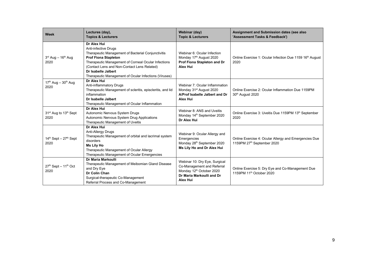| Week                                                  | Lectures (day),<br><b>Topics &amp; Lecturers</b>                                                                                                                                                                                                                                                               | Webinar (day)<br><b>Topic &amp; Lecturers</b>                                                                                           | Assignment and Submission dates (see also<br>'Assessment Tasks & Feedback')              |
|-------------------------------------------------------|----------------------------------------------------------------------------------------------------------------------------------------------------------------------------------------------------------------------------------------------------------------------------------------------------------------|-----------------------------------------------------------------------------------------------------------------------------------------|------------------------------------------------------------------------------------------|
| $3rd$ Aug - 16 <sup>th</sup> Aug<br>2020              | Dr Alex Hui<br>Anti-infective Drugs<br>Therapeutic Management of Bacterial Conjunctivitis<br><b>Prof Fiona Stapleton</b><br>Therapeutic Management of Corneal Ocular Infections<br>(Contact Lens and Non-Contact Lens Related)<br>Dr Isabelle Jalbert<br>Therapeutic Management of Ocular Infections (Viruses) | Webinar 6: Ocular Infection<br>Monday 17 <sup>th</sup> August 2020<br>Prof Fiona Stapleton and Dr<br><b>Alex Hui</b>                    | Online Exercise 1: Ocular Infection Due 1159 16th August<br>2020                         |
| $17th$ Aug - $30th$ Aug<br>2020                       | Dr Alex Hui<br>Anti-inflammatory Drugs<br>Therapeutic Management of scleritis, episcleritis, and lid<br>inflammation<br>Dr Isabelle Jalbert<br>Therapeutic Management of Ocular Inflammation                                                                                                                   | Webinar 7: Ocular Inflammation<br>Monday 31 <sup>st</sup> August 2020<br>A/Prof Isabelle Jalbert and Dr<br><b>Alex Hui</b>              | Online Exercise 2: Ocular Inflammation Due 1159PM<br>30th August 2020                    |
| 31 <sup>st</sup> Aug to 13 <sup>th</sup> Sept<br>2020 | <b>Dr Alex Hui</b><br>Autonomic Nervous System Drugs<br>Autonomic Nervous System Drug Applications<br>Therapeutic Management of Uveitis                                                                                                                                                                        | Webinar 8: ANS and Uveitis<br>Monday 14th September 2020<br>Dr Alex Hui                                                                 | Online Exercise 3: Uveitis Due 1159PM 13th September<br>2020                             |
| $14th$ Sept $-27th$ Sept<br>2020                      | Dr Alex Hui<br>Anti-Allergy Drugs<br>Therapeutic Management of orbital and lacrimal system<br>disorders<br><b>Ms Lily Ho</b><br>Therapeutic Management of Ocular Allergy<br>Therapeutic Management of Ocular Emergencies                                                                                       | Webinar 9: Ocular Allergy and<br>Emergencies<br>Monday 28th September 2020<br>Ms Lily Ho and Dr Alex Hui                                | Online Exercise 4: Ocular Allergy and Emergencies Due<br>1159PM 27th September 2020      |
| 27th Sept - 11th Oct<br>2020                          | Dr Maria Markoulli<br>Therapeutic Management of Meibomian Gland Disease<br>and Dry Eye<br>Dr Colin Chan<br>Surgical-therapeutic Co-Management<br>Referral Process and Co-Management                                                                                                                            | Webinar 10: Dry Eye, Surgical<br>Co-Management and Referral<br>Monday 12th October 2020<br>Dr Maria Markoulli and Dr<br><b>Alex Hui</b> | Online Exercise 5: Dry Eye and Co-Management Due<br>1159PM 11 <sup>th</sup> October 2020 |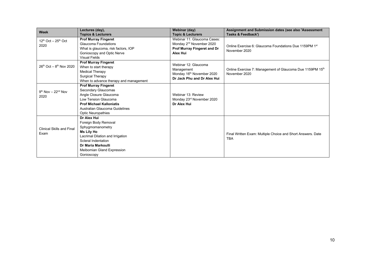| Week                                     | Lectures (day),                                                                                                                                                                                        | <b>Webinar (day)</b>                                                                                                  | Assignment and Submission dates (see also 'Assessment                      |
|------------------------------------------|--------------------------------------------------------------------------------------------------------------------------------------------------------------------------------------------------------|-----------------------------------------------------------------------------------------------------------------------|----------------------------------------------------------------------------|
|                                          | <b>Topics &amp; Lecturers</b>                                                                                                                                                                          | <b>Topic &amp; Lecturers</b>                                                                                          | Tasks & Feedback')                                                         |
| $12^{th}$ Oct $-25^{th}$ Oct<br>2020     | <b>Prof Murray Fingeret</b><br>Glaucoma Foundations<br>What is glaucoma, risk factors, IOP<br>Gonioscopy and Optic Nerve<br><b>Visual Fields</b>                                                       | Webinar 11: Glaucoma Cases:<br>Monday 2 <sup>nd</sup> November 2020<br>Prof Murray Fingeret and Dr<br><b>Alex Hui</b> | Online Exercise 6: Glaucoma Foundations Due 1159PM 1st<br>November 2020    |
| $26^{th}$ Oct – $8^{th}$ Nov 2020        | <b>Prof Murray Fingeret</b><br>When to start therapy<br><b>Medical Therapy</b><br>Surgical Therapy<br>When to advance therapy and management                                                           | Webinar 12: Glaucoma<br>Management<br>Monday 16th November 2020<br>Dr Jack Phu and Dr Alex Hui                        | Online Exercise 7: Management of Glaucoma Due 1159PM 15th<br>November 2020 |
| $9th$ Nov $-22nd$ Nov<br>2020            | <b>Prof Murray Fingeret</b><br>Secondary Glaucomas<br>Angle Closure Glaucoma<br>Low Tension Glaucoma<br><b>Prof Michael Kalloniatis</b><br>Australian Glaucoma Guidelines<br><b>Optic Neuropathies</b> | Webinar 13: Review<br>Monday 23rd November 2020<br>Dr Alex Hui                                                        |                                                                            |
| <b>Clinical Skills and Final</b><br>Exam | Dr Alex Hui<br>Foreign Body Removal<br>Sphygmomanometry<br>Ms Lily Ho<br>Lacrimal Dilation and Irrigation<br>Scleral Indentation<br>Dr Maria Markoulli<br>Meibomian Gland Expression<br>Gonioscopy     |                                                                                                                       | Final Written Exam: Multiple Choice and Short Answers. Date<br><b>TBA</b>  |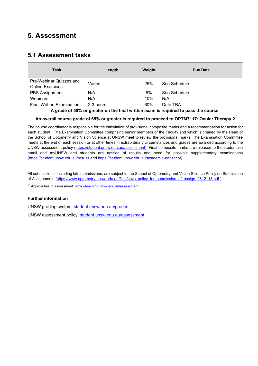## **5. Assessment**

#### **5.1 Assessment tasks**

| Task                                               | Length    | Weight | Due Date     |
|----------------------------------------------------|-----------|--------|--------------|
| Pre-Webinar Quizzes and<br><b>Online Exercises</b> | Varies    | 25%    | See Schedule |
| <b>PBS Assignment</b>                              | N/A       | 5%     | See Schedule |
| Webinars                                           | N/A       | 10%    | N/A          |
| Final Written Examination:                         | 2-3 hours | 60%    | Date TBA     |

**A grade of 50% or greater on the final written exam is required to pass the course.**

#### **An overall course grade of 65% or greater is required to proceed to OPTM7117: Ocular Therapy 2**

The course coordinator is responsible for the calculation of provisional composite marks and a recommendation for action for each student. The Examination Committee comprising senior members of the Faculty and which is chaired by the Head of the School of Optometry and Vision Science at UNSW meet to review the provisional marks. The Examination Committee meets at the end of each session or at other times in extraordinary circumstances and grades are awarded according to the UNSW assessment policy [\(https://student.unsw.edu.au/assessment\)](https://student.unsw.edu.au/assessment). Final composite marks are released to the student via email and myUNSW and students are notified of results and need for possible supplementary examinations [\(https://student.unsw.edu.au/results](https://student.unsw.edu.au/results) and [https://student.unsw.edu.au/academic-transcript\)](https://student.unsw.edu.au/academic-transcript).

All submissions, including late submissions, are subject to the School of Optometry and Vision Science Policy on Submission of Assignments [\(https://www.optometry.unsw.edu.au/files/sovs\\_policy\\_for\\_submission\\_of\\_assign\\_28\\_2\\_18.pdf](https://www.optometry.unsw.edu.au/files/sovs_policy_for_submission_of_assign_28_2_18.pdf) ).

<sup>10</sup> Approaches to assessment[: https://teaching.unsw.edu.au/assessment](https://teaching.unsw.edu.au/assessment)

#### **Further information**

UNSW grading system: [student.unsw.edu.au/grades](https://student.unsw.edu.au/grades)

UNSW assessment policy: [student.unsw.edu.au/assessment](https://student.unsw.edu.au/assessment)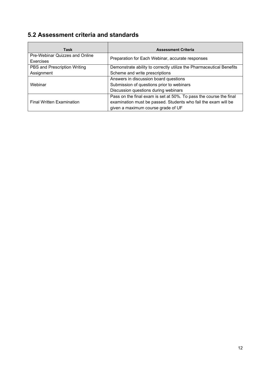# **5.2 Assessment criteria and standards**

 $\blacksquare$ 

| Task                                        | <b>Assessment Criteria</b>                                           |
|---------------------------------------------|----------------------------------------------------------------------|
| Pre-Webinar Quizzes and Online<br>Exercises | Preparation for Each Webinar, accurate responses                     |
| PBS and Prescription Writing                | Demonstrate ability to correctly utilize the Pharmaceutical Benefits |
| Assignment                                  | Scheme and write prescriptions                                       |
|                                             | Answers in discussion board questions                                |
| Webinar                                     | Submission of questions prior to webinars                            |
|                                             | Discussion questions during webinars                                 |
|                                             | Pass on the final exam is set at 50%. To pass the course the final   |
| <b>Final Written Examination</b>            | examination must be passed. Students who fail the exam will be       |
|                                             | given a maximum course grade of UF                                   |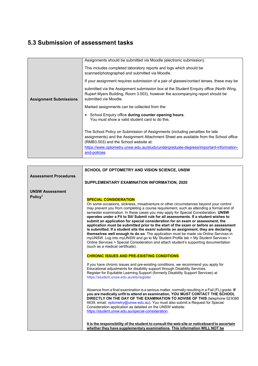# **5.3 Submission of assessment tasks**

|                               | Assignments should be submitted via Moodle (electronic submission).                                                                                                                                                                                                                                                    |
|-------------------------------|------------------------------------------------------------------------------------------------------------------------------------------------------------------------------------------------------------------------------------------------------------------------------------------------------------------------|
|                               | This includes completed laboratory reports and logs which should be<br>scanned/photographed and submitted via Moodle.                                                                                                                                                                                                  |
|                               | If your assignment requires submission of a pair of glasses/contact lenses, these may be                                                                                                                                                                                                                               |
| <b>Assignment Submissions</b> | submitted via the Assignment submission box at the Student Enguiry office (North Wing,<br>Rupert Myers Building, Room 3.003), however the accompanying report should be<br>submitted via Moodle.                                                                                                                       |
|                               | Marked assignments can be collected from the:                                                                                                                                                                                                                                                                          |
|                               | School Enquiry office during counter opening hours.<br>You must show a valid student card to do this.                                                                                                                                                                                                                  |
|                               | The School Policy on Submission of Assignments (including penalties for late<br>assignments) and the Assignment Attachment Sheet are available from the School office<br>(RMB3.003) and the School website at:<br>https://www.optometry.unsw.edu.au/study/undergraduate-degrees/important-information-<br>and-policies |
|                               |                                                                                                                                                                                                                                                                                                                        |

|                                               | SCHOOL OF OPTOMETRY AND VISION SCIENCE, UNSW                                                                                                                                                                                                                                                                                                                                                                                                                                                                                                                                                                                                                                                                                                                                                                                                                                                                                                                                                                                                                                                                                                                                                                                                                                                                                                                                                                                                                                                                                                                                                           |
|-----------------------------------------------|--------------------------------------------------------------------------------------------------------------------------------------------------------------------------------------------------------------------------------------------------------------------------------------------------------------------------------------------------------------------------------------------------------------------------------------------------------------------------------------------------------------------------------------------------------------------------------------------------------------------------------------------------------------------------------------------------------------------------------------------------------------------------------------------------------------------------------------------------------------------------------------------------------------------------------------------------------------------------------------------------------------------------------------------------------------------------------------------------------------------------------------------------------------------------------------------------------------------------------------------------------------------------------------------------------------------------------------------------------------------------------------------------------------------------------------------------------------------------------------------------------------------------------------------------------------------------------------------------------|
| <b>Assessment Procedures</b>                  |                                                                                                                                                                                                                                                                                                                                                                                                                                                                                                                                                                                                                                                                                                                                                                                                                                                                                                                                                                                                                                                                                                                                                                                                                                                                                                                                                                                                                                                                                                                                                                                                        |
|                                               | SUPPLEMENTARY EXAMINATION INFORMATION, 2020                                                                                                                                                                                                                                                                                                                                                                                                                                                                                                                                                                                                                                                                                                                                                                                                                                                                                                                                                                                                                                                                                                                                                                                                                                                                                                                                                                                                                                                                                                                                                            |
| <b>UNSW Assessment</b><br>Policy <sup>1</sup> | <b>SPECIAL CONSIDERATION</b><br>On some occasions, sickness, misadventure or other circumstances beyond your control<br>may prevent you from completing a course requirement, such as attending a formal end of<br>semester examination. In these cases you may apply for Special Consideration. UNSW<br>operates under a Fit to Sit/ Submit rule for all assessments. If a student wishes to<br>submit an application for special consideration for an exam or assessment, the<br>application must be submitted prior to the start of the exam or before an assessment<br>is submitted. If a student sits the exam/ submits an assignment, they are declaring<br>themselves well enough to do so. The application must be made via Online Services in<br>myUNSW. Log into myUNSW and go to My Student Profile tab > My Student Services ><br>Online Services > Special Consideration and attach student's supporting documentation<br>(such as a medical certificate).<br><b>CHRONIC ISSUES AND PRE-EXISTING CONDITIONS</b><br>If you have chronic issues and pre-existing conditions, we recommend you apply for<br>Educational adjustments for disability support through Disability Services.<br>Register for Equitable Learning Support (formerly Disability Support Services) at<br>https://student.unsw.edu.au/els/register<br>Absence from a final examination is a serious matter, normally resulting in a Fail (FL) grade. If<br>you are medically unfit to attend an examination, YOU MUST CONTACT THE SCHOOL<br>DIRECTLY ON THE DAY OF THE EXAMINATION TO ADVISE OF THIS (telephone 029385 |
|                                               | 4639, email: optometry@unsw.edu.au). You must also submit a Request for Special<br>Consideration application as detailed on the UNSW website:<br>https://student.unsw.edu.au/special-consideration.                                                                                                                                                                                                                                                                                                                                                                                                                                                                                                                                                                                                                                                                                                                                                                                                                                                                                                                                                                                                                                                                                                                                                                                                                                                                                                                                                                                                    |
|                                               | It is the responsibility of the student to consult the web site or noticeboard to ascertain<br>whether they have supplementary examinations. This information WILL NOT be                                                                                                                                                                                                                                                                                                                                                                                                                                                                                                                                                                                                                                                                                                                                                                                                                                                                                                                                                                                                                                                                                                                                                                                                                                                                                                                                                                                                                              |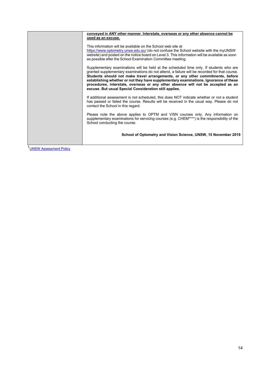| conveyed in ANY other manner. Interstate, overseas or any other absence cannot be                                                                                                                                                                                                                                                                                                                                                                                                                                |
|------------------------------------------------------------------------------------------------------------------------------------------------------------------------------------------------------------------------------------------------------------------------------------------------------------------------------------------------------------------------------------------------------------------------------------------------------------------------------------------------------------------|
| used as an excuse.                                                                                                                                                                                                                                                                                                                                                                                                                                                                                               |
| This information will be available on the School web site at<br>https://www.optometry.unsw.edu.au/ (do not confuse the School website with the myUNSW<br>website) and posted on the notice board on Level 3. This information will be available as soon<br>as possible after the School Examination Committee meeting.                                                                                                                                                                                           |
| Supplementary examinations will be held at the scheduled time only. If students who are<br>granted supplementary examinations do not attend, a failure will be recorded for that course.<br>Students should not make travel arrangements, or any other commitments, before<br>establishing whether or not they have supplementary examinations. Ignorance of these<br>procedures, interstate, overseas or any other absence will not be accepted as an<br>excuse. But usual Special Consideration still applies. |
| If additional assessment is not scheduled, this does NOT indicate whether or not a student<br>has passed or failed the course. Results will be received in the usual way. Please do not<br>contact the School in this regard.                                                                                                                                                                                                                                                                                    |
| Please note the above applies to OPTM and VISN courses only. Any information on<br>supplementary examinations for servicing courses (e.g. CHEM****) is the responsibility of the<br>School conducting the course.                                                                                                                                                                                                                                                                                                |
| School of Optometry and Vision Science, UNSW, 15 November 2019                                                                                                                                                                                                                                                                                                                                                                                                                                                   |

1**UNSW Assessment Policy**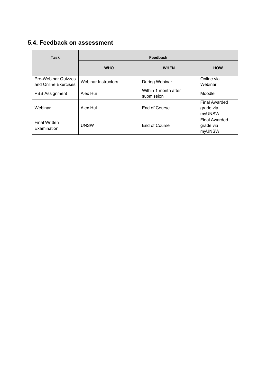# **5.4. Feedback on assessment**

| <b>Task</b>                                        | Feedback            |                                    |                                             |  |
|----------------------------------------------------|---------------------|------------------------------------|---------------------------------------------|--|
|                                                    | <b>WHO</b>          | <b>WHEN</b>                        | <b>HOW</b>                                  |  |
| <b>Pre-Webinar Quizzes</b><br>and Online Exercises | Webinar Instructors | During Webinar                     | Online via<br>Webinar                       |  |
| <b>PBS</b> Assignment                              | Alex Hui            | Within 1 month after<br>submission | Moodle                                      |  |
| Webinar                                            | Alex Hui            | End of Course                      | <b>Final Awarded</b><br>grade via<br>myUNSW |  |
| <b>Final Written</b><br>Examination                | <b>UNSW</b>         | End of Course                      | <b>Final Awarded</b><br>grade via<br>myUNSW |  |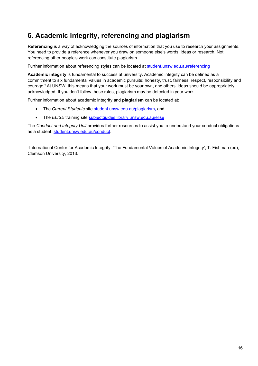# **6. Academic integrity, referencing and plagiarism**

**Referencing** is a way of acknowledging the sources of information that you use to research your assignments. You need to provide a reference whenever you draw on someone else's words, ideas or research. Not referencing other people's work can constitute plagiarism.

Further information about referencing styles can be located at [student.unsw.edu.au/referencing](https://student.unsw.edu.au/referencing)

**Academic integrity** is fundamental to success at university. Academic integrity can be defined as a commitment to six fundamental values in academic pursuits**:** honesty, trust, fairness, respect, responsibility and courage.2 At UNSW, this means that your work must be your own, and others' ideas should be appropriately acknowledged. If you don't follow these rules, plagiarism may be detected in your work.

Further information about academic integrity and **plagiarism** can be located at:

- The *Current Students* site [student.unsw.edu.au/plagiarism](https://student.unsw.edu.au/plagiarism)*,* and
- The *ELISE* training site [subjectguides.library.unsw.edu.au/elise](http://subjectguides.library.unsw.edu.au/elise)

The *Conduct and Integrity Unit* provides further resources to assist you to understand your conduct obligations as a student: [student.unsw.edu.au/conduct.](https://student.unsw.edu.au/conduct)

2International Center for Academic Integrity, 'The Fundamental Values of Academic Integrity', T. Fishman (ed), Clemson University, 2013.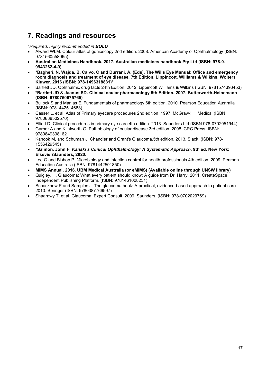## **7. Readings and resources**

*\*Required, highly recommended in BOLD*

- Alward WLM. Colour atlas of gonioscopy 2nd edition. 2008. American Academy of Ophthalmology (ISBN: 9781560558965)
- **Australian Medicines Handbook. 2017. Australian medicines handbook Pty Ltd (ISBN: 978-0- 9943262-4-9)**
- **\*Bagheri, N, Wajda, B, Calvo, C and Durrani, A. (Eds). The Wills Eye Manual: Office and emergency room diagnosis and treatment of eye disease. 7th Edition. Lippincott, Williams & Wilkins. Wolters Kluwer. 2016 (ISBN: 978-1496318831)\***
- Bartlett JD. Ophthalmic drug facts 24th Edition. 2012. Lippincott Williams & Wilkins (ISBN: 9781574393453)
- **\*Bartlett JD & Jaanus SD. Clinical ocular pharmacology 5th Edition. 2007. Butterworth-Heinemann (ISBN: 9780750675765)**
- Bullock S and Manias E. Fundamentals of pharmacology 6th edition. 2010. Pearson Education Australia (ISBN: 9781442514683)
- Casser L, et al. Atlas of Primary eyecare procedures 2nd edition. 1997. McGraw-Hill Medical (ISBN: 9780838502570)
- Elliott D. Clinical procedures in primary eye care 4th edition. 2013. Saunders Ltd (ISBN 978-0702051944)
- Garner A and Klintworth G. Pathobiology of ocular disease 3rd edition. 2008. CRC Press. ISBN: 9780849398162
- Kahook M, and Schuman J. Chandler and Grant's Glaucoma.5th edition. 2013. Slack. (ISBN: 978- 1556429545)
- **\*Salmon, John F.** *Kanski's Clinical Ophthalmology: A Systematic Approach***. 9th ed. New York: Elsevier/Saunders, 2020.**
- Lee G and Bishop P. Microbiology and infection control for health professionals 4th edition. 2009. Pearson Education Australia (ISBN: 9781442501850)
- **MIMS Annual. 2016. UBM Medical Australia (or eMIMS) (Available online through UNSW library)**
- Quigley, H. Glaucoma: What every patient should know: A guide from Dr. Harry. 2011. CreateSpace Independent Publishing Platform. (ISBN: 9781461008231)
- Schacknow P and Samples J. The glaucoma book: A practical, evidence-based approach to patient care. 2010. Springer (ISBN: 9780387766997)
- Shaarawy T, et al. Glaucoma: Expert Consult. 2009. Saunders. (ISBN: 978-0702029769)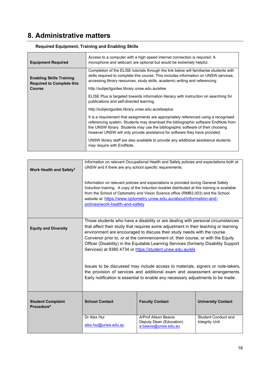# **8. Administrative matters**

| <b>Equipment Required</b>                                           | Access to a computer with a high speed internet connection is required. A<br>microphone and webcam are optional but would be extremely helpful.                                                                                                                                                                                            |  |
|---------------------------------------------------------------------|--------------------------------------------------------------------------------------------------------------------------------------------------------------------------------------------------------------------------------------------------------------------------------------------------------------------------------------------|--|
| <b>Enabling Skills Training</b><br><b>Required to Complete this</b> | Completion of the ELISE tutorials through the link below will familiarise students with<br>skills required to complete this course. This includes information on UNSW services,<br>accessing library resources, study skills, academic writing and referencing.                                                                            |  |
| <b>Course</b>                                                       | http://subjectguides.library.unsw.edu.au/elise                                                                                                                                                                                                                                                                                             |  |
|                                                                     | ELISE Plus is targeted towards information literacy with instruction on searching for<br>publications and self-directed learning.                                                                                                                                                                                                          |  |
|                                                                     | http://subjectguides.library.unsw.edu.au/eliseplus                                                                                                                                                                                                                                                                                         |  |
|                                                                     | It is a requirement that assignments are appropriately referenced using a recognised<br>referencing system. Students may download the bibliographic software EndNote from<br>the UNSW library. Students may use the bibliographic software of their choosing<br>however UNSW will only provide assistance for software they have provided. |  |
|                                                                     | UNSW library staff are also available to provide any additional assistance students<br>may require with EndNote.                                                                                                                                                                                                                           |  |

#### **Required Equipment, Training and Enabling Skills**

| Work Health and Safety <sup>3</sup>                | Information on relevant Occupational Health and Safety policies and expectations both at<br>UNSW and if there are any school specific requirements.                                                                                                                                                                                                                                                                                                                                      |                                                                         |                                                     |  |  |
|----------------------------------------------------|------------------------------------------------------------------------------------------------------------------------------------------------------------------------------------------------------------------------------------------------------------------------------------------------------------------------------------------------------------------------------------------------------------------------------------------------------------------------------------------|-------------------------------------------------------------------------|-----------------------------------------------------|--|--|
|                                                    | Information on relevant policies and expectations is provided during General Safety<br>Induction training. A copy of the Induction booklet distributed at this training is available<br>from the School of Optometry and Vision Science office (RMB3.003) and the School<br>website at: https://www.optometry.unsw.edu.au/about/information-and-<br>policies/work-health-and-safety                                                                                                      |                                                                         |                                                     |  |  |
| <b>Equity and Diversity</b>                        | Those students who have a disability or are dealing with personal circumstances<br>that affect their study that requires some adjustment in their teaching or learning<br>environment are encouraged to discuss their study needs with the course<br>Convenor prior to, or at the commencement of, their course, or with the Equity<br>Officer (Disability) in the Equitable Learning Services (formerly Disability Support<br>Services) at 9385 4734 or https://student.unsw.edu.au/els |                                                                         |                                                     |  |  |
|                                                    | Issues to be discussed may include access to materials, signers or note-takers,<br>the provision of services and additional exam and assessment arrangements.<br>Early notification is essential to enable any necessary adjustments to be made.                                                                                                                                                                                                                                         |                                                                         |                                                     |  |  |
| <b>Student Complaint</b><br>Procedure <sup>4</sup> | <b>School Contact</b>                                                                                                                                                                                                                                                                                                                                                                                                                                                                    | <b>Faculty Contact</b>                                                  | <b>University Contact</b>                           |  |  |
|                                                    | Dr Alex Hui<br>alex.hui@unsw.edu.au                                                                                                                                                                                                                                                                                                                                                                                                                                                      | A/Prof Alison Beavis<br>Deputy Dean (Education)<br>a.beavis@unsw.edu.au | <b>Student Conduct and</b><br><b>Integrity Unit</b> |  |  |